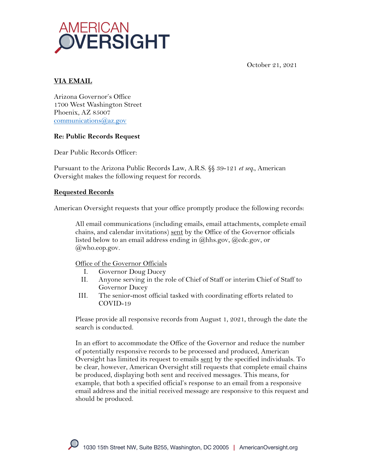

October 21, 2021

# **VIA EMAIL**

Arizona Governor's Office 1700 West Washington Street Phoenix, AZ 85007 communications@az.gov

## **Re: Public Records Request**

Dear Public Records Officer:

Pursuant to the Arizona Public Records Law, A.R.S. §§ 39-121 *et seq.*, American Oversight makes the following request for records.

## **Requested Records**

American Oversight requests that your office promptly produce the following records:

All email communications (including emails, email attachments, complete email chains, and calendar invitations) sent by the Office of the Governor officials listed below to an email address ending in @hhs.gov, @cdc.gov, or  $@$ who.eop.gov.

Office of the Governor Officials

- I. Governor Doug Ducey
- II. Anyone serving in the role of Chief of Staff or interim Chief of Staff to Governor Ducey
- III. The senior-most official tasked with coordinating efforts related to COVID-19

Please provide all responsive records from August 1, 2021, through the date the search is conducted.

In an effort to accommodate the Office of the Governor and reduce the number of potentially responsive records to be processed and produced, American Oversight has limited its request to emails sent by the specified individuals. To be clear, however, American Oversight still requests that complete email chains be produced, displaying both sent and received messages. This means, for example, that both a specified official's response to an email from a responsive email address and the initial received message are responsive to this request and should be produced.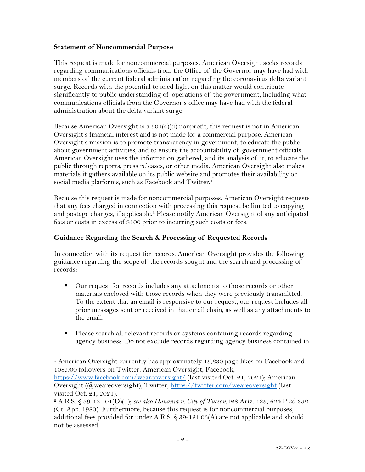## **Statement of Noncommercial Purpose**

This request is made for noncommercial purposes. American Oversight seeks records regarding communications officials from the Office of the Governor may have had with members of the current federal administration regarding the coronavirus delta variant surge. Records with the potential to shed light on this matter would contribute significantly to public understanding of operations of the government, including what communications officials from the Governor's office may have had with the federal administration about the delta variant surge.

Because American Oversight is a  $501(c)(3)$  nonprofit, this request is not in American Oversight's financial interest and is not made for a commercial purpose. American Oversight's mission is to promote transparency in government, to educate the public about government activities, and to ensure the accountability of government officials. American Oversight uses the information gathered, and its analysis of it, to educate the public through reports, press releases, or other media. American Oversight also makes materials it gathers available on its public website and promotes their availability on social media platforms, such as Facebook and Twitter.<sup>1</sup>

Because this request is made for noncommercial purposes, American Oversight requests that any fees charged in connection with processing this request be limited to copying and postage charges, if applicable.<sup>2</sup> Please notify American Oversight of any anticipated fees or costs in excess of \$100 prior to incurring such costs or fees.

## **Guidance Regarding the Search & Processing of Requested Records**

In connection with its request for records, American Oversight provides the following guidance regarding the scope of the records sought and the search and processing of records:

- Our request for records includes any attachments to those records or other materials enclosed with those records when they were previously transmitted. To the extent that an email is responsive to our request, our request includes all prior messages sent or received in that email chain, as well as any attachments to the email.
- Please search all relevant records or systems containing records regarding agency business. Do not exclude records regarding agency business contained in

<sup>1</sup> American Oversight currently has approximately 15,630 page likes on Facebook and 108,900 followers on Twitter. American Oversight, Facebook,

https://www.facebook.com/weareoversight/ (last visited Oct. 21, 2021); American Oversight (@weareoversight), Twitter, https://twitter.com/weareoversight (last visited Oct. 21, 2021).

<sup>2</sup> A.R.S. § 39-121.01(D)(1); *see also Hanania v. City of Tucson*,128 Ariz. 135, 624 P.2d 332 (Ct. App. 1980). Furthermore, because this request is for noncommercial purposes, additional fees provided for under A.R.S.  $\frac{6}{9}$  39-121.03(A) are not applicable and should not be assessed.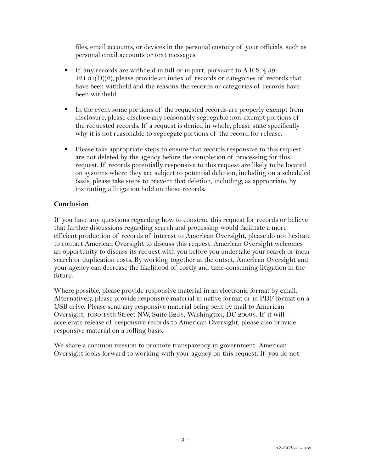files, email accounts, or devices in the personal custody of your officials, such as personal email accounts or text messages.

- If any records are withheld in full or in part, pursuant to A.R.S. § 39- $121.01(D)(2)$ , please provide an index of records or categories of records that have been withheld and the reasons the records or categories of records have been withheld.
- In the event some portions of the requested records are properly exempt from disclosure, please disclose any reasonably segregable non-exempt portions of the requested records. If a request is denied in whole, please state specifically why it is not reasonable to segregate portions of the record for release.
- § Please take appropriate steps to ensure that records responsive to this request are not deleted by the agency before the completion of processing for this request. If records potentially responsive to this request are likely to be located on systems where they are subject to potential deletion, including on a scheduled basis, please take steps to prevent that deletion, including, as appropriate, by instituting a litigation hold on those records.

# **Conclusion**

If you have any questions regarding how to construe this request for records or believe that further discussions regarding search and processing would facilitate a more efficient production of records of interest to American Oversight, please do not hesitate to contact American Oversight to discuss this request. American Oversight welcomes an opportunity to discuss its request with you before you undertake your search or incur search or duplication costs. By working together at the outset, American Oversight and your agency can decrease the likelihood of costly and time-consuming litigation in the future.

Where possible, please provide responsive material in an electronic format by email. Alternatively, please provide responsive material in native format or in PDF format on a USB drive. Please send any responsive material being sent by mail to American Oversight, 1030 15th Street NW, Suite B255, Washington, DC 20005. If it will accelerate release of responsive records to American Oversight, please also provide responsive material on a rolling basis.

We share a common mission to promote transparency in government. American Oversight looks forward to working with your agency on this request. If you do not